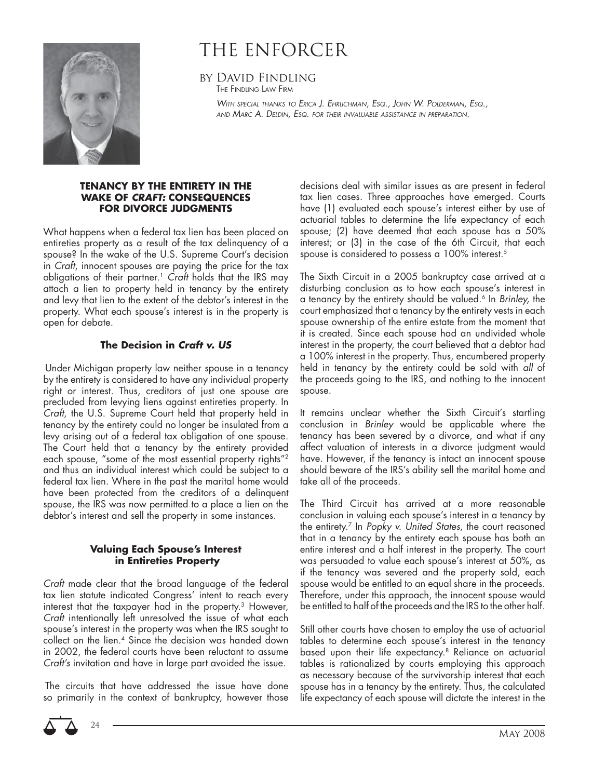

# THE ENFORCER

by David Findling THE FINDLING LAW FIRM

> WITH SPECIAL THANKS TO ERICA J. EHRLICHMAN, ESQ., JOHN W. POLDERMAN, ESQ., AND MARC A. DELDIN, ESQ. FOR THEIR INVALUABLE ASSISTANCE IN PREPARATION.

#### **TENANCY BY THE ENTIRETY IN THE WAKE OF** *CRAFT:* **CONSEQUENCES FOR DIVORCE JUDGMENTS**

What happens when a federal tax lien has been placed on entireties property as a result of the tax delinquency of a spouse? In the wake of the U.S. Supreme Court's decision in Craft, innocent spouses are paying the price for the tax obligations of their partner.<sup>1</sup> Craft holds that the IRS may attach a lien to property held in tenancy by the entirety and levy that lien to the extent of the debtor's interest in the property. What each spouse's interest is in the property is open for debate.

### **The Decision in** *Craft v. US*

 Under Michigan property law neither spouse in a tenancy by the entirety is considered to have any individual property right or interest. Thus, creditors of just one spouse are precluded from levying liens against entireties property. In Craft, the U.S. Supreme Court held that property held in tenancy by the entirety could no longer be insulated from a levy arising out of a federal tax obligation of one spouse. The Court held that a tenancy by the entirety provided each spouse, "some of the most essential property rights"2 and thus an individual interest which could be subject to a federal tax lien. Where in the past the marital home would have been protected from the creditors of a delinquent spouse, the IRS was now permitted to a place a lien on the debtor's interest and sell the property in some instances.

### **Valuing Each Spouse's Interest in Entireties Property**

Craft made clear that the broad language of the federal tax lien statute indicated Congress' intent to reach every interest that the taxpayer had in the property.3 However, Craft intentionally left unresolved the issue of what each spouse's interest in the property was when the IRS sought to collect on the lien.4 Since the decision was handed down in 2002, the federal courts have been reluctant to assume Craft's invitation and have in large part avoided the issue.

 The circuits that have addressed the issue have done so primarily in the context of bankruptcy, however those



decisions deal with similar issues as are present in federal tax lien cases. Three approaches have emerged. Courts have (1) evaluated each spouse's interest either by use of actuarial tables to determine the life expectancy of each spouse; (2) have deemed that each spouse has a 50% interest; or (3) in the case of the 6th Circuit, that each spouse is considered to possess a 100% interest.<sup>5</sup>

The Sixth Circuit in a 2005 bankruptcy case arrived at a disturbing conclusion as to how each spouse's interest in a tenancy by the entirety should be valued.<sup>6</sup> In Brinley, the court emphasized that a tenancy by the entirety vests in each spouse ownership of the entire estate from the moment that it is created. Since each spouse had an undivided whole interest in the property, the court believed that a debtor had a 100% interest in the property. Thus, encumbered property held in tenancy by the entirety could be sold with all of the proceeds going to the IRS, and nothing to the innocent spouse.

It remains unclear whether the Sixth Circuit's startling conclusion in Brinley would be applicable where the tenancy has been severed by a divorce, and what if any affect valuation of interests in a divorce judgment would have. However, if the tenancy is intact an innocent spouse should beware of the IRS's ability sell the marital home and take all of the proceeds.

The Third Circuit has arrived at a more reasonable conclusion in valuing each spouse's interest in a tenancy by the entirety.<sup>7</sup> In Popky v. United States, the court reasoned that in a tenancy by the entirety each spouse has both an entire interest and a half interest in the property. The court was persuaded to value each spouse's interest at 50%, as if the tenancy was severed and the property sold, each spouse would be entitled to an equal share in the proceeds. Therefore, under this approach, the innocent spouse would be entitled to half of the proceeds and the IRS to the other half.

Still other courts have chosen to employ the use of actuarial tables to determine each spouse's interest in the tenancy based upon their life expectancy.<sup>8</sup> Reliance on actuarial tables is rationalized by courts employing this approach as necessary because of the survivorship interest that each spouse has in a tenancy by the entirety. Thus, the calculated life expectancy of each spouse will dictate the interest in the